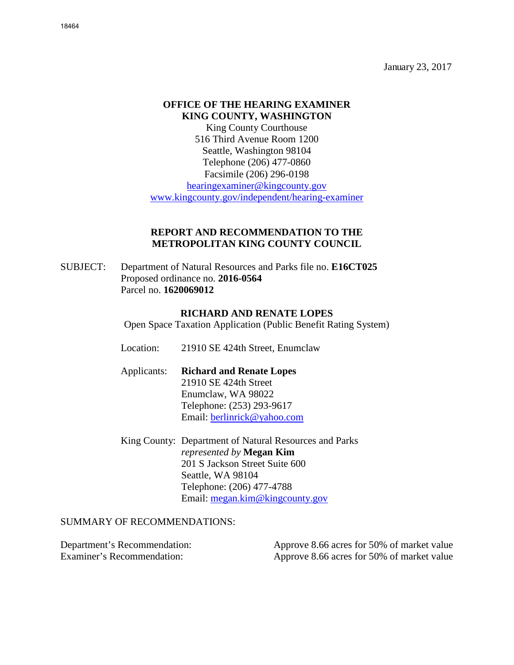January 23, 2017

# **OFFICE OF THE HEARING EXAMINER KING COUNTY, WASHINGTON**

King County Courthouse 516 Third Avenue Room 1200 Seattle, Washington 98104 Telephone (206) 477-0860 Facsimile (206) 296-0198 [hearingexaminer@kingcounty.gov](mailto:hearingexaminer@kingcounty.gov) [www.kingcounty.gov/independent/hearing-examiner](http://www.kingcounty.gov/independent/hearing-examiner)

### **REPORT AND RECOMMENDATION TO THE METROPOLITAN KING COUNTY COUNCIL**

SUBJECT: Department of Natural Resources and Parks file no. **E16CT025**  Proposed ordinance no. **2016-0564**  Parcel no. **1620069012**

#### **RICHARD AND RENATE LOPES**

Open Space Taxation Application (Public Benefit Rating System)

Location: 21910 SE 424th Street, Enumclaw

Applicants: **Richard and Renate Lopes** 21910 SE 424th Street Enumclaw, WA 98022 Telephone: (253) 293-9617 Email: [berlinrick@yahoo.com](mailto:berlinrick@yahoo.com)

King County: Department of Natural Resources and Parks *represented by* **Megan Kim** 201 S Jackson Street Suite 600 Seattle, WA 98104 Telephone: (206) 477-4788 Email: [megan.kim@kingcounty.gov](mailto:megan.kim@kingcounty.gov)

SUMMARY OF RECOMMENDATIONS:

Department's Recommendation: Approve 8.66 acres for 50% of market value Examiner's Recommendation: Approve 8.66 acres for 50% of market value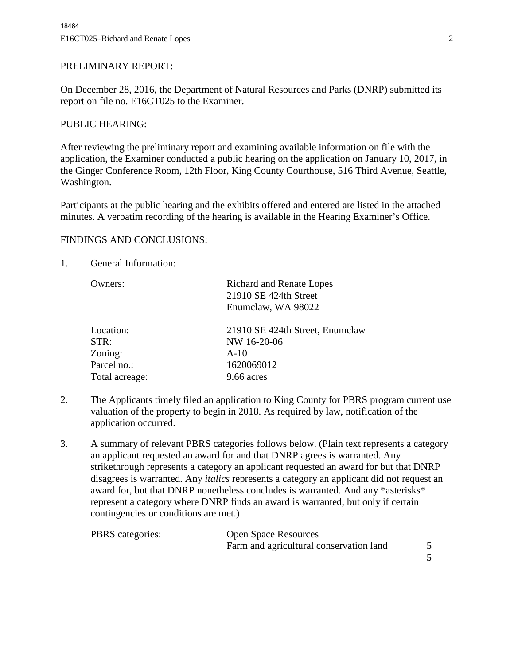### PRELIMINARY REPORT:

On December 28, 2016, the Department of Natural Resources and Parks (DNRP) submitted its report on file no. E16CT025 to the Examiner.

#### PUBLIC HEARING:

After reviewing the preliminary report and examining available information on file with the application, the Examiner conducted a public hearing on the application on January 10, 2017, in the Ginger Conference Room, 12th Floor, King County Courthouse, 516 Third Avenue, Seattle, Washington.

Participants at the public hearing and the exhibits offered and entered are listed in the attached minutes. A verbatim recording of the hearing is available in the Hearing Examiner's Office.

### FINDINGS AND CONCLUSIONS:

1. General Information:

| Owners:        | <b>Richard and Renate Lopes</b><br>21910 SE 424th Street<br>Enumclaw, WA 98022 |
|----------------|--------------------------------------------------------------------------------|
| Location:      | 21910 SE 424th Street, Enumclaw                                                |
| STR:           | NW 16-20-06                                                                    |
| Zoning:        | $A-10$                                                                         |
| Parcel no.:    | 1620069012                                                                     |
| Total acreage: | 9.66 acres                                                                     |

- 2. The Applicants timely filed an application to King County for PBRS program current use valuation of the property to begin in 2018. As required by law, notification of the application occurred.
- 3. A summary of relevant PBRS categories follows below. (Plain text represents a category an applicant requested an award for and that DNRP agrees is warranted. Any strikethrough represents a category an applicant requested an award for but that DNRP disagrees is warranted. Any *italics* represents a category an applicant did not request an award for, but that DNRP nonetheless concludes is warranted. And any \*asterisks\* represent a category where DNRP finds an award is warranted, but only if certain contingencies or conditions are met.)

| PBRS categories: | <b>Open Space Resources</b>             |  |
|------------------|-----------------------------------------|--|
|                  | Farm and agricultural conservation land |  |
|                  |                                         |  |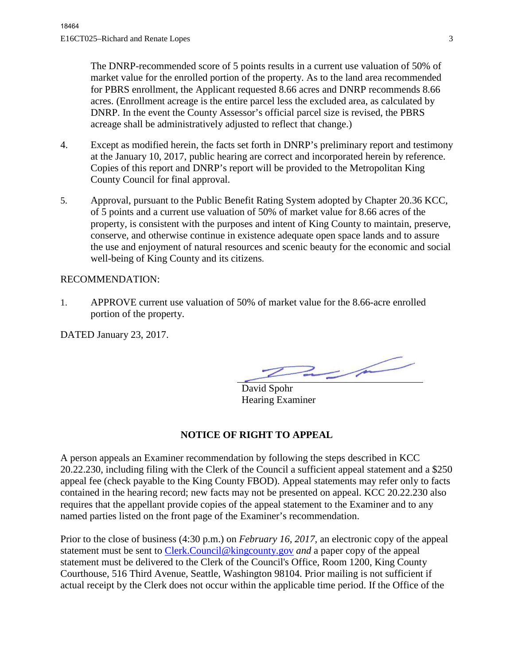The DNRP-recommended score of 5 points results in a current use valuation of 50% of market value for the enrolled portion of the property. As to the land area recommended for PBRS enrollment, the Applicant requested 8.66 acres and DNRP recommends 8.66 acres. (Enrollment acreage is the entire parcel less the excluded area, as calculated by DNRP. In the event the County Assessor's official parcel size is revised, the PBRS acreage shall be administratively adjusted to reflect that change.)

- 4. Except as modified herein, the facts set forth in DNRP's preliminary report and testimony at the January 10, 2017, public hearing are correct and incorporated herein by reference. Copies of this report and DNRP's report will be provided to the Metropolitan King County Council for final approval.
- 5. Approval, pursuant to the Public Benefit Rating System adopted by Chapter 20.36 KCC, of 5 points and a current use valuation of 50% of market value for 8.66 acres of the property, is consistent with the purposes and intent of King County to maintain, preserve, conserve, and otherwise continue in existence adequate open space lands and to assure the use and enjoyment of natural resources and scenic beauty for the economic and social well-being of King County and its citizens.

## RECOMMENDATION:

1. APPROVE current use valuation of 50% of market value for the 8.66-acre enrolled portion of the property.

DATED January 23, 2017.

 $\overline{\phantom{a}}$ 

David Spohr Hearing Examiner

## **NOTICE OF RIGHT TO APPEAL**

A person appeals an Examiner recommendation by following the steps described in KCC 20.22.230, including filing with the Clerk of the Council a sufficient appeal statement and a \$250 appeal fee (check payable to the King County FBOD). Appeal statements may refer only to facts contained in the hearing record; new facts may not be presented on appeal. KCC 20.22.230 also requires that the appellant provide copies of the appeal statement to the Examiner and to any named parties listed on the front page of the Examiner's recommendation.

Prior to the close of business (4:30 p.m.) on *February 16, 2017,* an electronic copy of the appeal statement must be sent to [Clerk.Council@kingcounty.gov](mailto:Clerk.Council@kingcounty.gov) *and* a paper copy of the appeal statement must be delivered to the Clerk of the Council's Office, Room 1200, King County Courthouse, 516 Third Avenue, Seattle, Washington 98104. Prior mailing is not sufficient if actual receipt by the Clerk does not occur within the applicable time period. If the Office of the